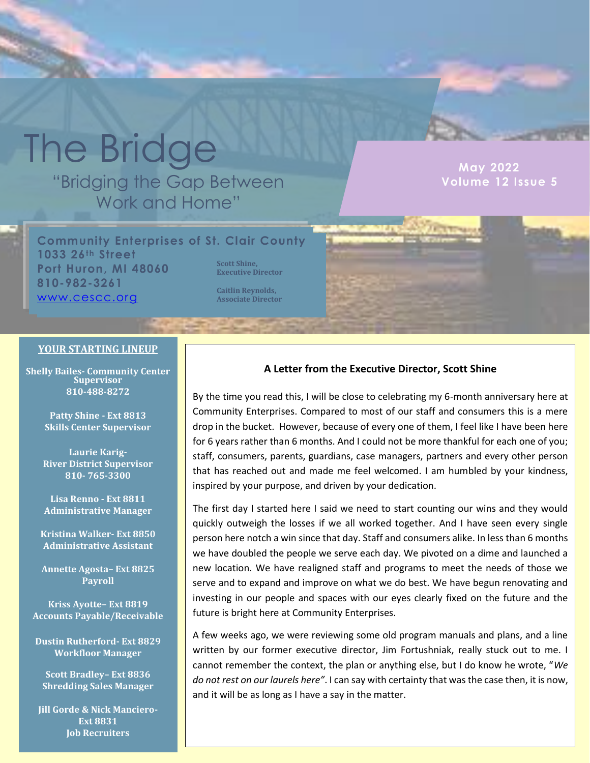# The Bridge

"Bridging the Gap Between Work and Home"

**MUY 2022 Volume 11 Issue 10 Volume 12 Issue 5 May 2022**

**Community Enterprises of St. Clair County 1033 26th Street Port Huron, MI 48060 810-982-3261** [www.cescc.org](http://www.cescc.org/) **Scott Shine, Executive Director Caitlin Reynolds, Associate Director**

#### **YOUR STARTING LINEUP**

**Shelly Bailes- Community Center Supervisor 810-488-8272**

> **Patty Shine - Ext 8813 Skills Center Supervisor**

**Laurie Karig-River District Supervisor 810- 765-3300**

**Lisa Renno - Ext 8811 Administrative Manager**

**Kristina Walker- Ext 8850 Administrative Assistant**

**Annette Agosta– Ext 8825 Payroll**

**Kriss Ayotte– Ext 8819 Accounts Payable/Receivable**

**Dustin Rutherford- Ext 8829 Workfloor Manager**

**Scott Bradley– Ext 8836 Shredding Sales Manager**

**Jill Gorde & Nick Manciero-Ext 8831 Job Recruiters**

#### **A Letter from the Executive Director, Scott Shine**

By the time you read this, I will be close to celebrating my 6-month anniversary here at Community Enterprises. Compared to most of our staff and consumers this is a mere drop in the bucket. However, because of every one of them, I feel like I have been here for 6 years rather than 6 months. And I could not be more thankful for each one of you; staff, consumers, parents, guardians, case managers, partners and every other person that has reached out and made me feel welcomed. I am humbled by your kindness, inspired by your purpose, and driven by your dedication.

The first day I started here I said we need to start counting our wins and they would quickly outweigh the losses if we all worked together. And I have seen every single person here notch a win since that day. Staff and consumers alike. In less than 6 months we have doubled the people we serve each day. We pivoted on a dime and launched a new location. We have realigned staff and programs to meet the needs of those we serve and to expand and improve on what we do best. We have begun renovating and investing in our people and spaces with our eyes clearly fixed on the future and the future is bright here at Community Enterprises.

A few weeks ago, we were reviewing some old program manuals and plans, and a line written by our former executive director, Jim Fortushniak, really stuck out to me. I cannot remember the context, the plan or anything else, but I do know he wrote, "*We do not rest on our laurels here"*. I can say with certainty that was the case then, it is now, and it will be as long as I have a say in the matter.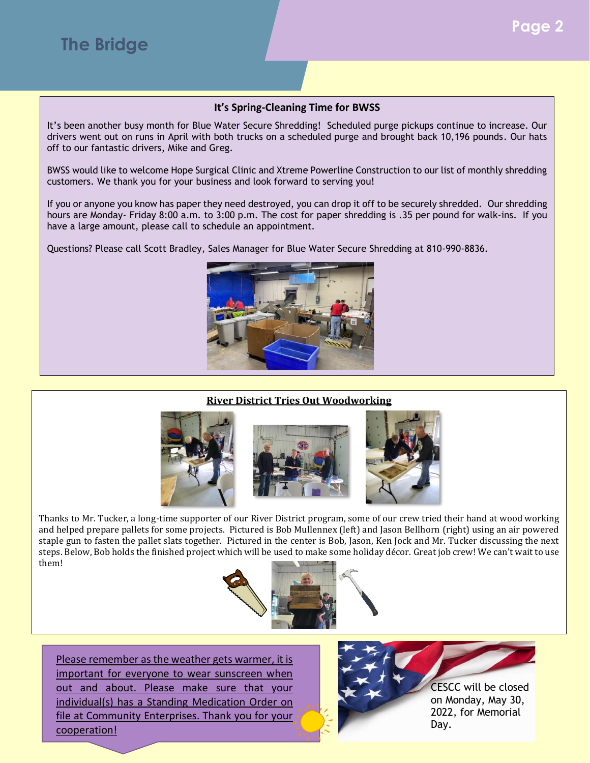#### **It's Spring-Cleaning Time for BWSS**

It's been another busy month for Blue Water Secure Shredding! Scheduled purge pickups continue to increase. Our drivers went out on runs in April with both trucks on a scheduled purge and brought back 10,196 pounds. Our hats off to our fantastic drivers, Mike and Greg.

BWSS would like to welcome Hope Surgical Clinic and Xtreme Powerline Construction to our list of monthly shredding customers. We thank you for your business and look forward to serving you!

If you or anyone you know has paper they need destroyed, you can drop it off to be securely shredded. Our shredding hours are Monday- Friday 8:00 a.m. to 3:00 p.m. The cost for paper shredding is .35 per pound for walk-ins. If you have a large amount, please call to schedule an appointment.

Questions? Please call Scott Bradley, Sales Manager for Blue Water Secure Shredding at 810-990-8836.



#### **River District Tries Out Woodworking**







Thanks to Mr. Tucker, a long-time supporter of our River District program, some of our crew tried their hand at wood working and helped prepare pallets for some projects. Pictured is Bob Mullennex (left) and Jason Bellhorn (right) using an air powered staple gun to fasten the pallet slats together. Pictured in the center is Bob, Jason, Ken Jock and Mr. Tucker discussing the next steps. Below, Bob holds the finished project which will be used to make some holiday décor. Great job crew! We can't wait to use them!



Please remember as the weather gets warmer, it is important for everyone to wear sunscreen when out and about. Please make sure that your individual(s) has a Standing Medication Order on file at Community Enterprises. Thank you for your cooperation!



CESCC will be closed on Monday, May 30, 2022, for Memorial Day.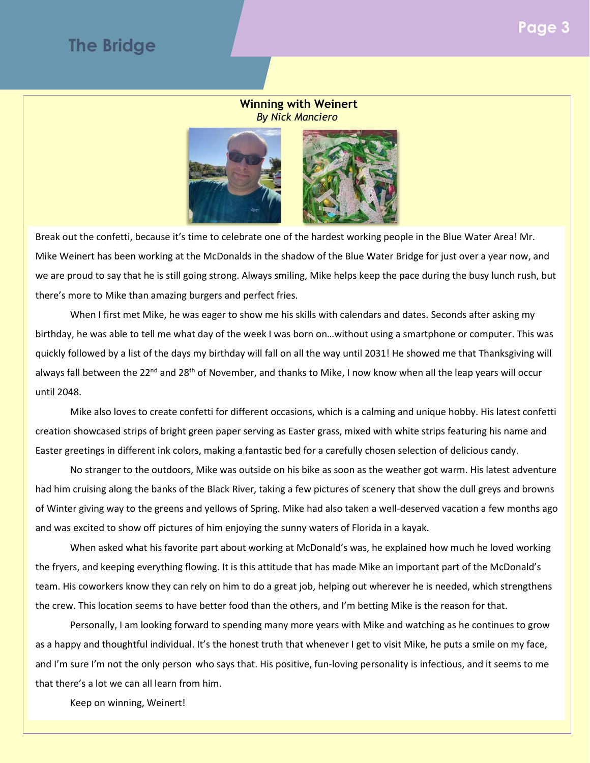## **The Bridge**

#### **Winning with Weinert** *By Nick Manciero*



Break out the confetti, because it's time to celebrate one of the hardest working people in the Blue Water Area! Mr. Mike Weinert has been working at the McDonalds in the shadow of the Blue Water Bridge for just over a year now, and we are proud to say that he is still going strong. Always smiling, Mike helps keep the pace during the busy lunch rush, but there's more to Mike than amazing burgers and perfect fries.

When I first met Mike, he was eager to show me his skills with calendars and dates. Seconds after asking my birthday, he was able to tell me what day of the week I was born on…without using a smartphone or computer. This was quickly followed by a list of the days my birthday will fall on all the way until 2031! He showed me that Thanksgiving will always fall between the 22<sup>nd</sup> and 28<sup>th</sup> of November, and thanks to Mike, I now know when all the leap years will occur until 2048.

Mike also loves to create confetti for different occasions, which is a calming and unique hobby. His latest confetti creation showcased strips of bright green paper serving as Easter grass, mixed with white strips featuring his name and Easter greetings in different ink colors, making a fantastic bed for a carefully chosen selection of delicious candy.

No stranger to the outdoors, Mike was outside on his bike as soon as the weather got warm. His latest adventure had him cruising along the banks of the Black River, taking a few pictures of scenery that show the dull greys and browns of Winter giving way to the greens and yellows of Spring. Mike had also taken a well-deserved vacation a few months ago and was excited to show off pictures of him enjoying the sunny waters of Florida in a kayak.

When asked what his favorite part about working at McDonald's was, he explained how much he loved working the fryers, and keeping everything flowing. It is this attitude that has made Mike an important part of the McDonald's team. His coworkers know they can rely on him to do a great job, helping out wherever he is needed, which strengthens the crew. This location seems to have better food than the others, and I'm betting Mike is the reason for that.

Personally, I am looking forward to spending many more years with Mike and watching as he continues to grow as a happy and thoughtful individual. It's the honest truth that whenever I get to visit Mike, he puts a smile on my face, and I'm sure I'm not the only person who says that. His positive, fun-loving personality is infectious, and it seems to me that there's a lot we can all learn from him.

Keep on winning, Weinert!